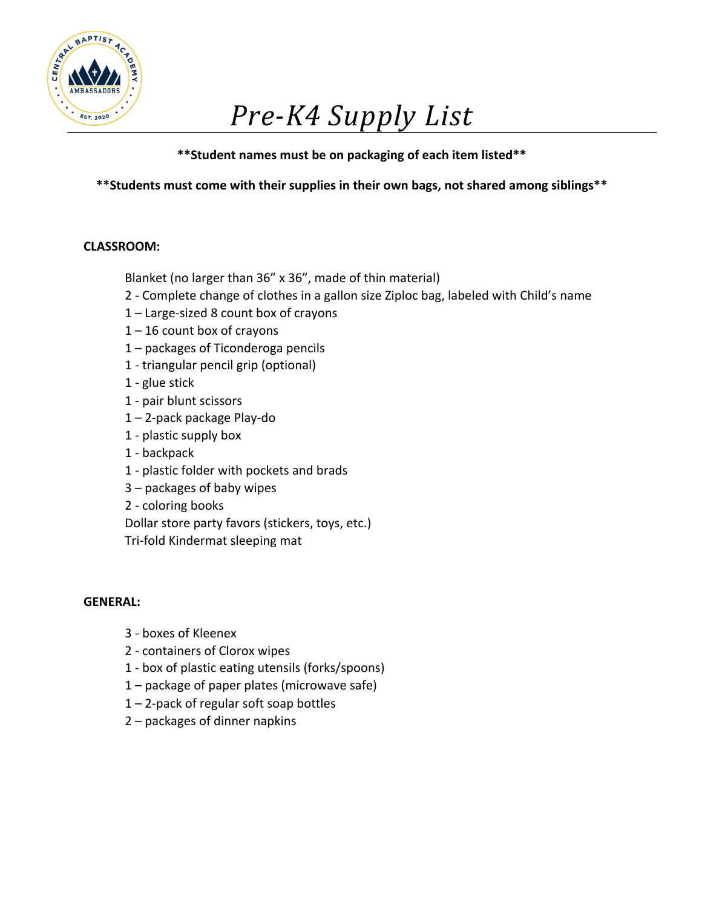

# *Pre-K4 Supply List*

**\*\*Student names must be on packaging of each item listed\*\***

**\*\*Students must come with their supplies in their own bags, not shared among siblings\*\***

## **CLASSROOM:**

Blanket (no larger than 36" x 36", made of thin material)

- 2 Complete change of clothes in a gallon size Ziploc bag, labeled with Child's name
- 1 Large-sized 8 count box of crayons
- $1 16$  count box of crayons
- 1 packages of Ticonderoga pencils
- 1 triangular pencil grip (optional)
- 1 glue stick
- 1 pair blunt scissors
- 1 2-pack package Play-do
- 1 plastic supply box
- 1 backpack
- 1 plastic folder with pockets and brads
- 3 packages of baby wipes
- 2 coloring books

Dollar store party favors (stickers, toys, etc.)

Tri-fold Kindermat sleeping mat

- 3 boxes of Kleenex
- 2 containers of Clorox wipes
- 1 box of plastic eating utensils (forks/spoons)
- 1 package of paper plates (microwave safe)
- 1 2-pack of regular soft soap bottles
- 2 packages of dinner napkins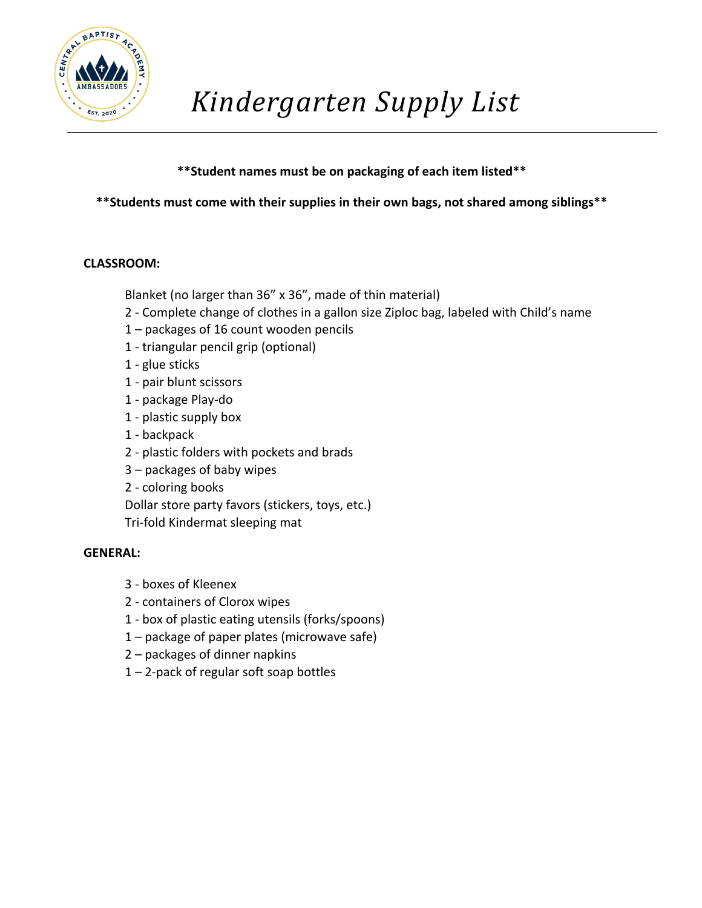

## **\*\*Student names must be on packaging of each item listed\*\***

## **\*\*Students must come with their supplies in their own bags, not shared among siblings\*\***

### **CLASSROOM:**

Blanket (no larger than 36" x 36", made of thin material)

- 2 Complete change of clothes in a gallon size Ziploc bag, labeled with Child's name
- 1 packages of 16 count wooden pencils
- 1 triangular pencil grip (optional)
- 1 glue sticks
- 1 pair blunt scissors
- 1 package Play-do
- 1 plastic supply box
- 1 backpack
- 2 plastic folders with pockets and brads
- 3 packages of baby wipes
- 2 coloring books

Dollar store party favors (stickers, toys, etc.)

Tri-fold Kindermat sleeping mat

- 3 boxes of Kleenex
- 2 containers of Clorox wipes
- 1 box of plastic eating utensils (forks/spoons)
- 1 package of paper plates (microwave safe)
- 2 packages of dinner napkins
- 1 2-pack of regular soft soap bottles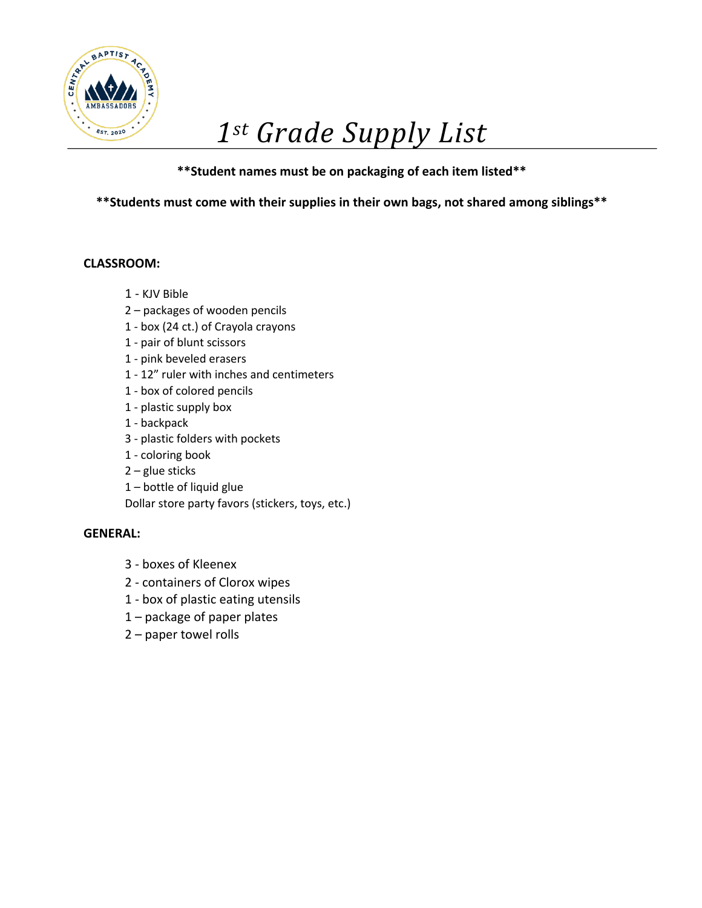

# *1st Grade Supply List*

## **\*\*Student names must be on packaging of each item listed\*\***

**\*\*Students must come with their supplies in their own bags, not shared among siblings\*\***

### **CLASSROOM:**

- 1 KJV Bible
- 2 packages of wooden pencils
- 1 box (24 ct.) of Crayola crayons
- 1 pair of blunt scissors
- 1 pink beveled erasers
- 1 12" ruler with inches and centimeters
- 1 box of colored pencils
- 1 plastic supply box
- 1 backpack
- 3 plastic folders with pockets
- 1 coloring book
- 2 glue sticks
- 1 bottle of liquid glue

Dollar store party favors (stickers, toys, etc.)

- 3 boxes of Kleenex
- 2 containers of Clorox wipes
- 1 box of plastic eating utensils
- 1 package of paper plates
- 2 paper towel rolls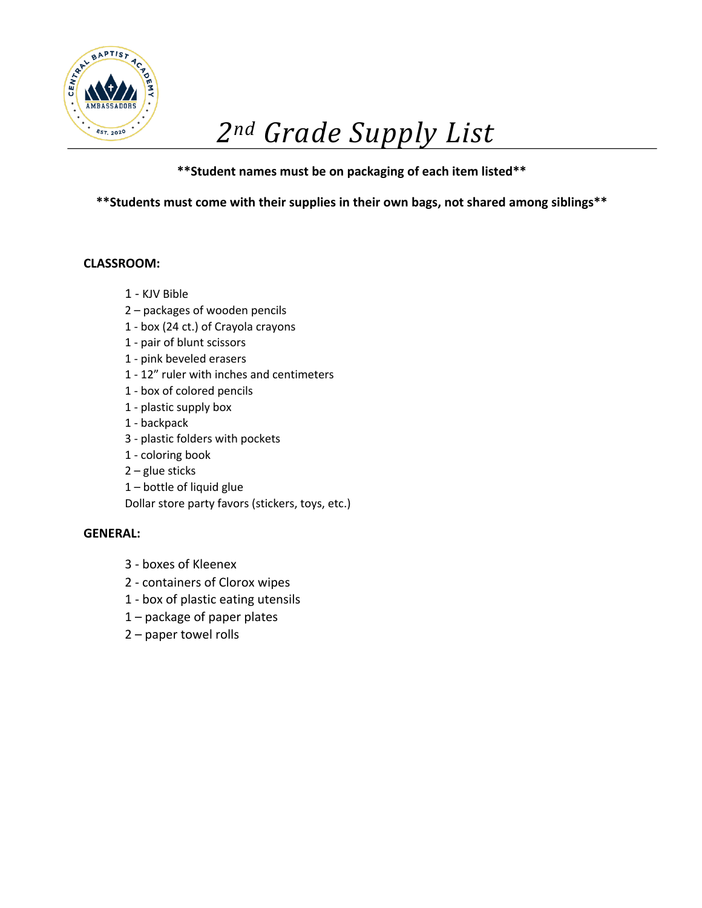

# *2nd Grade Supply List*

## **\*\*Student names must be on packaging of each item listed\*\***

**\*\*Students must come with their supplies in their own bags, not shared among siblings\*\***

### **CLASSROOM:**

- 1 KJV Bible
- 2 packages of wooden pencils
- 1 box (24 ct.) of Crayola crayons
- 1 pair of blunt scissors
- 1 pink beveled erasers
- 1 12" ruler with inches and centimeters
- 1 box of colored pencils
- 1 plastic supply box
- 1 backpack
- 3 plastic folders with pockets
- 1 coloring book
- 2 glue sticks
- 1 bottle of liquid glue

Dollar store party favors (stickers, toys, etc.)

- 3 boxes of Kleenex
- 2 containers of Clorox wipes
- 1 box of plastic eating utensils
- 1 package of paper plates
- 2 paper towel rolls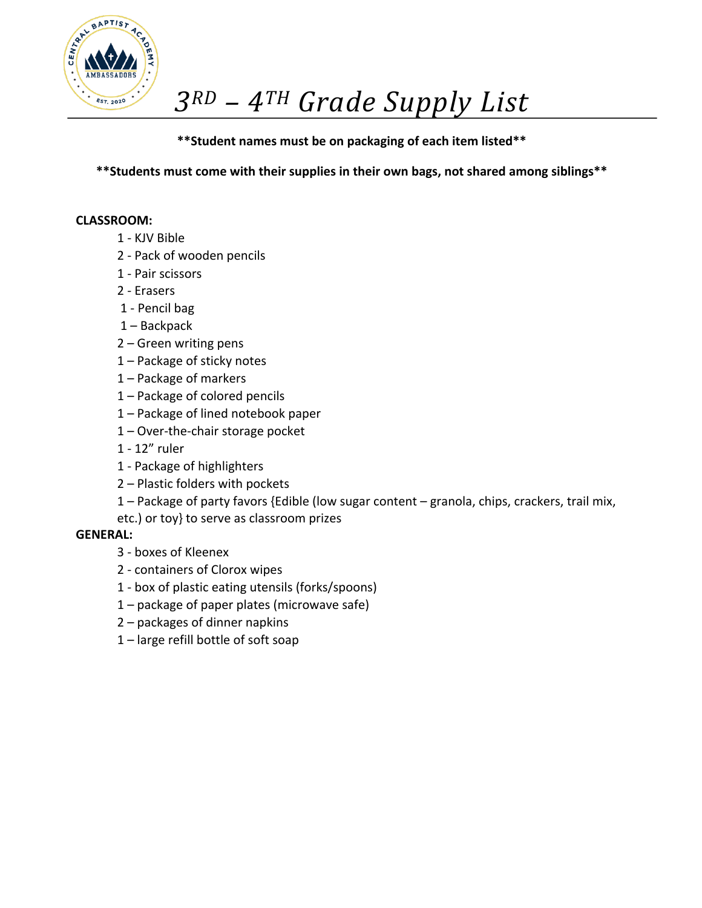

## **\*\*Student names must be on packaging of each item listed\*\***

**\*\*Students must come with their supplies in their own bags, not shared among siblings\*\***

### **CLASSROOM:**

- 1 KJV Bible
- 2 Pack of wooden pencils
- 1 Pair scissors
- 2 Erasers
- 1 Pencil bag
- 1 Backpack
- 2 Green writing pens
- 1 Package of sticky notes
- 1 Package of markers
- 1 Package of colored pencils
- 1 Package of lined notebook paper
- 1 Over-the-chair storage pocket
- 1 12" ruler
- 1 Package of highlighters
- 2 Plastic folders with pockets
- 1 Package of party favors {Edible (low sugar content granola, chips, crackers, trail mix,
- etc.) or toy} to serve as classroom prizes

- 3 boxes of Kleenex
- 2 containers of Clorox wipes
- 1 box of plastic eating utensils (forks/spoons)
- 1 package of paper plates (microwave safe)
- 2 packages of dinner napkins
- 1 large refill bottle of soft soap